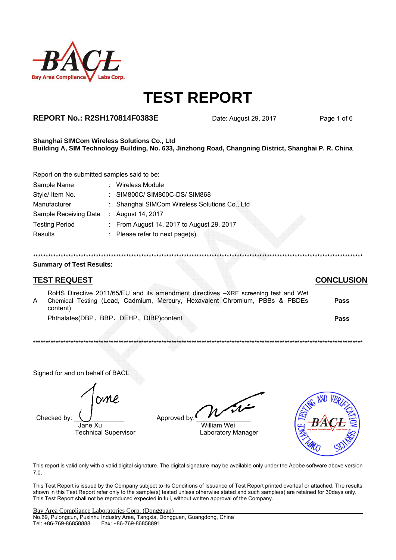

## **REPORT No.: R2SH170814F0383E**

Date: August 29, 2017

Page 1 of 6

#### Shanghai SIMCom Wireless Solutions Co., Ltd Building A, SIM Technology Building, No. 633, Jinzhong Road, Changning District, Shanghai P. R. China

Report on the submitted samples said to be:

| Sample Name           | : Wireless Module                             |
|-----------------------|-----------------------------------------------|
| Style/ Item No.       | : SIM800C/SIM800C-DS/SIM868                   |
| Manufacturer          | : Shanghai SIMCom Wireless Solutions Co., Ltd |
| Sample Receiving Date | : August 14, 2017                             |
| <b>Testing Period</b> | : From August 14, 2017 to August 29, 2017     |
| <b>Results</b>        | : Please refer to next page(s).               |
|                       |                                               |

#### **Summary of Test Results:**

### **TEST REQUEST**

### **CONCLUSION**

RoHS Directive 2011/65/EU and its amendment directives -XRF screening test and Wet  $\overline{A}$ Chemical Testing (Lead, Cadmium, Mercury, Hexavalent Chromium, PBBs & PBDEs Pass content) Phthalates(DBP、BBP、DEHP、DIBP)content Pass

Signed for and on behalf of BACL

Checked by:

Jane Xu **Technical Supervisor** 

Approved by: **William Wei** 

Laboratory Manager



This report is valid only with a valid digital signature. The digital signature may be available only under the Adobe software above version  $7.0.$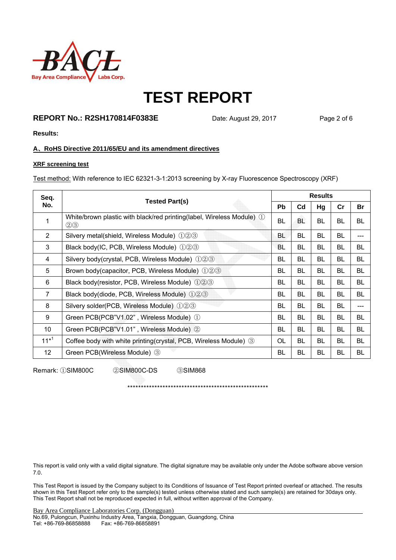

## **REPORT No.: R2SH170814F0383E** Date: August 29, 2017 Page 2 of 6

**Results:** 

#### **A**、**RoHS Directive 2011/65/EU and its amendment directives**

#### **XRF screening test**

Test method: With reference to IEC 62321-3-1:2013 screening by X-ray Fluorescence Spectroscopy (XRF)

| Seq.           |                                                                                        |           | <b>Results</b> |           |           |     |  |  |  |
|----------------|----------------------------------------------------------------------------------------|-----------|----------------|-----------|-----------|-----|--|--|--|
| No.            | <b>Tested Part(s)</b>                                                                  | <b>Pb</b> | C <sub>d</sub> | Hg        | cr        | Br  |  |  |  |
| 1              | White/brown plastic with black/red printing(label, Wireless Module) ①<br>$\circled{2}$ | BL.       | BL             | BL.       | BL        | BL  |  |  |  |
| $\overline{2}$ | Silvery metal(shield, Wireless Module) 123                                             | BL        | BL             | BL        | BL        |     |  |  |  |
| 3              | Black body(IC, PCB, Wireless Module) 123                                               | BL        | BL             | BL.       | BL        | BL. |  |  |  |
| 4              | Silvery body(crystal, PCB, Wireless Module) 123                                        | BL.       | <b>BL</b>      | BL.       | BL        | BL. |  |  |  |
| 5              | Brown body(capacitor, PCB, Wireless Module) 123                                        | BL        | <b>BL</b>      | BL        | BL        | BL  |  |  |  |
| 6              | Black body(resistor, PCB, Wireless Module) 123                                         | BL        | <b>BL</b>      | <b>BL</b> | BL        | BL  |  |  |  |
| $\overline{7}$ | Black body(diode, PCB, Wireless Module) 123                                            | BL.       | BL             | BL        | BL        | BL  |  |  |  |
| 8              | Silvery solder(PCB, Wireless Module) 123                                               | BL        | BL             | <b>BL</b> | <b>BL</b> | --- |  |  |  |
| 9              | Green PCB(PCB"V1.02", Wireless Module) ①                                               | BL.       | BL             | BL        | BL        | BL. |  |  |  |
| 10             | Green PCB(PCB"V1.01", Wireless Module) 2                                               | BL        | BL             | <b>BL</b> | <b>BL</b> | BL  |  |  |  |
| $11^{*1}$      | Coffee body with white printing (crystal, PCB, Wireless Module) 3                      | OL.       | BL             | BL.       | BL        | BL. |  |  |  |
| 12             | Green PCB(Wireless Module) 3                                                           | BL        | BL             | BL        | BL        | BL  |  |  |  |
|                |                                                                                        |           |                |           |           |     |  |  |  |

Remark: ①SIM800C ②SIM800C-DS ③SIM868

\*\*\*\*\*\*\*\*\*\*\*\*\*\*\*\*\*\*\*\*\*\*\*\*\*\*\*\*\*\*\*\*\*\*\*\*\*\*\*\*\*\*\*\*\*\*\*\*\*\*\*\*

This report is valid only with a valid digital signature. The digital signature may be available only under the Adobe software above version 7.0.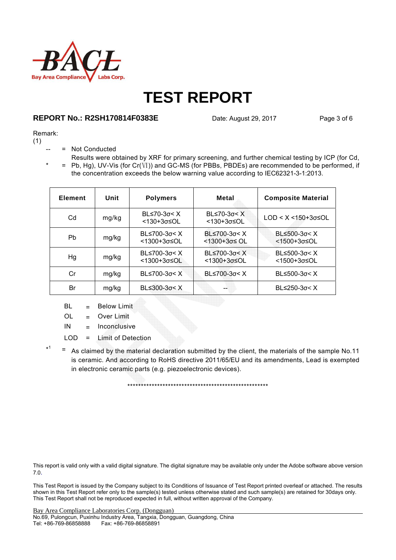

## **REPORT No.: R2SH170814F0383E** Date: August 29, 2017 Page 3 of 6

#### Remark:

(1)

- = Not Conducted
- $* = Pb, Hg$ , UV-Vis (for Cr(Ⅵ)) and GC-MS (for PBBs, PBDEs) are recommended to be performed, if Results were obtained by XRF for primary screening, and further chemical testing by ICP (for Cd, the concentration exceeds the below warning value according to IEC62321-3-1:2013.

| <b>Element</b> | Unit  | <b>Polymers</b>                | Metal                                     | <b>Composite Material</b>        |
|----------------|-------|--------------------------------|-------------------------------------------|----------------------------------|
| Cd             | mg/kg | $BL≤70-3σ < X$<br><130+3σ≤OL   | BL $\leq$ 70-3 $\sigma$ < X<br><130+3σ≤OL | $LOD < X < 150+3\sigma \leq OL$  |
| Pb             | mg/kg | BL≤700-3σ< X<br><1300+3σ≤OL    | $BL≤700-3σ < X$<br><1300+3σ≤ OL           | $BL≤500-3σ < X$<br><1500+3σ≤OL   |
| Hg             | mg/kg | $BL≤700-3σ < X$<br><1300+3σ≤OL | BL $\leq 700-3\sigma < X$<br><1300+3σ≤OL  | $BL ≤ 500-3σ < X$<br><1500+3σ≤OL |
| Сr             | mg/kg | $BL≤700-3σ < X$                | $BL≤700-3σ < X$                           | $BL ≤ 500-3σ < X$                |
| Br             | mg/kg | $BL≤300-3σ < X$                |                                           | BL $\leq$ 250-3 $\sigma$ < X     |

- $BL = Below Limit$
- OL = Over Limit
- IN = Inconclusive
- LOD = Limit of Detection
- \* 1  $=$  As claimed by the material declaration submitted by the client, the materials of the sample No.11 is ceramic. And according to RoHS directive 2011/65/EU and its amendments, Lead is exempted in electronic ceramic parts (e.g. piezoelectronic devices).

\*\*\*\*\*\*\*\*\*\*\*\*\*\*\*\*\*\*\*\*\*\*\*\*\*\*\*\*\*\*\*\*\*\*\*\*\*\*\*\*\*\*\*\*\*\*\*\*\*\*\*\*

This report is valid only with a valid digital signature. The digital signature may be available only under the Adobe software above version 7.0.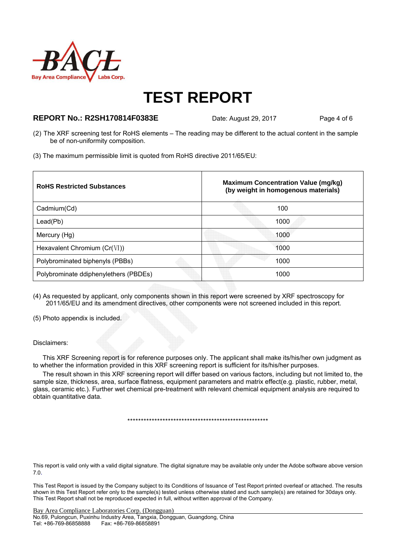

### **REPORT No.: R2SH170814F0383E** Date: August 29, 2017 Page 4 of 6

- (2) The XRF screening test for RoHS elements The reading may be different to the actual content in the sample be of non-uniformity composition.
- (3) The maximum permissible limit is quoted from RoHS directive 2011/65/EU:

| <b>RoHS Restricted Substances</b>     | <b>Maximum Concentration Value (mg/kg)</b><br>(by weight in homogenous materials) |
|---------------------------------------|-----------------------------------------------------------------------------------|
| Cadmium(Cd)                           | 100                                                                               |
| Leaf(Pb)                              | 1000                                                                              |
| Mercury (Hg)                          | 1000                                                                              |
| Hexavalent Chromium $(Cr(VI))$        | 1000                                                                              |
| Polybrominated biphenyls (PBBs)       | 1000                                                                              |
| Polybrominate ddiphenylethers (PBDEs) | 1000                                                                              |

(4) As requested by applicant, only components shown in this report were screened by XRF spectroscopy for 2011/65/EU and its amendment directives, other components were not screened included in this report.

(5) Photo appendix is included.

#### Disclaimers:

This XRF Screening report is for reference purposes only. The applicant shall make its/his/her own judgment as to whether the information provided in this XRF screening report is sufficient for its/his/her purposes.

The result shown in this XRF screening report will differ based on various factors, including but not limited to, the sample size, thickness, area, surface flatness, equipment parameters and matrix effect(e.g. plastic, rubber, metal, glass, ceramic etc.). Further wet chemical pre-treatment with relevant chemical equipment analysis are required to obtain quantitative data.

\*\*\*\*\*\*\*\*\*\*\*\*\*\*\*\*\*\*\*\*\*\*\*\*\*\*\*\*\*\*\*\*\*\*\*\*\*\*\*\*\*\*\*\*\*\*\*\*\*\*\*\*

This report is valid only with a valid digital signature. The digital signature may be available only under the Adobe software above version 7.0.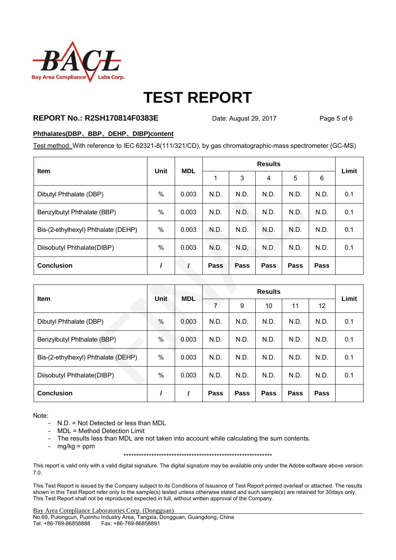

### **REPORT No.: R2SH170814F0383E** Date: August 29, 2017 Page 5 of 6

#### **Phthalates(DBP**、**BBP**、**DEHP**、**DIBP)content**

Test method: With reference to IEC 62321-8(111/321/CD), by gas chromatographic-mass spectrometer (GC-MS)

| <b>Item</b>                         | Unit | <b>MDL</b> | <b>Results</b> |      |      |      |      |       |
|-------------------------------------|------|------------|----------------|------|------|------|------|-------|
|                                     |      |            |                | 3    | 4    | 5    | 6    | Limit |
| Dibutyl Phthalate (DBP)             | %    | 0.003      | N.D.           | N.D. | N.D. | N.D. | N.D. | 0.1   |
| Benzylbutyl Phthalate (BBP)         | $\%$ | 0.003      | N.D.           | N.D. | N.D. | N.D. | N.D. | 0.1   |
| Bis-(2-ethylhexyl) Phthalate (DEHP) | $\%$ | 0.003      | N.D.           | N.D. | N.D. | N.D. | N.D. | 0.1   |
| Diisobutyl Phthalate(DIBP)          | $\%$ | 0.003      | N.D.           | N.D. | N.D. | N.D. | N.D. | 0.1   |
| <b>Conclusion</b>                   |      |            | Pass           | Pass | Pass | Pass | Pass |       |

| Item                                | Unit          | <b>MDL</b> | <b>Results</b> |      |      |      |      | Limit |
|-------------------------------------|---------------|------------|----------------|------|------|------|------|-------|
|                                     |               |            | $\overline{7}$ | 9    | 10   | 11   | 12   |       |
| Dibutyl Phthalate (DBP)             | $\frac{0}{0}$ | 0.003      | N.D.           | N.D. | N.D. | N.D. | N.D. | 0.1   |
| Benzylbutyl Phthalate (BBP)         | $\%$          | 0.003      | N.D.           | N.D. | N.D. | N.D. | N.D. | 0.1   |
| Bis-(2-ethylhexyl) Phthalate (DEHP) | $\%$          | 0.003      | N.D.           | N.D. | N.D. | N.D. | N.D. | 0.1   |
| Diisobutyl Phthalate(DIBP)          | $\%$          | 0.003      | N.D.           | N.D. | N.D. | N.D. | N.D. | 0.1   |
| <b>Conclusion</b>                   |               |            | Pass           | Pass | Pass | Pass | Pass |       |

Note:

- N.D. = Not Detected or less than MDL
- MDL = Method Detection Limit
- The results less than MDL are not taken into account while calculating the sum contents.
- $mg/kg = ppm$

\*\*\*\*\*\*\*\*\*\*\*\*\*\*\*\*\*\*\*\*\*\*\*\*\*\*\*\*\*\*\*\*\*\*\*\*\*\*\*\*\*\*\*\*\*\*\*\*\*\*\*\*\*\*\*\*\*\*\*

This report is valid only with a valid digital signature. The digital signature may be available only under the Adobe software above version 7.0.